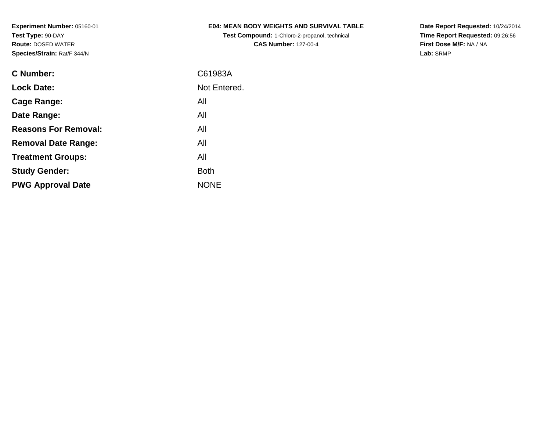**Test Compound:** 1-Chloro-2-propanol, technical **CAS Number:** 127-00-4

**Date Report Requested:** 10/24/2014 **Time Report Requested:** 09:26:56**First Dose M/F:** NA / NA**Lab:** SRMP

| C Number:                   | C61983A      |
|-----------------------------|--------------|
| <b>Lock Date:</b>           | Not Entered. |
| Cage Range:                 | All          |
| Date Range:                 | All          |
| <b>Reasons For Removal:</b> | All          |
| <b>Removal Date Range:</b>  | All          |
| <b>Treatment Groups:</b>    | All          |
| <b>Study Gender:</b>        | <b>Both</b>  |
| <b>PWG Approval Date</b>    | <b>NONE</b>  |
|                             |              |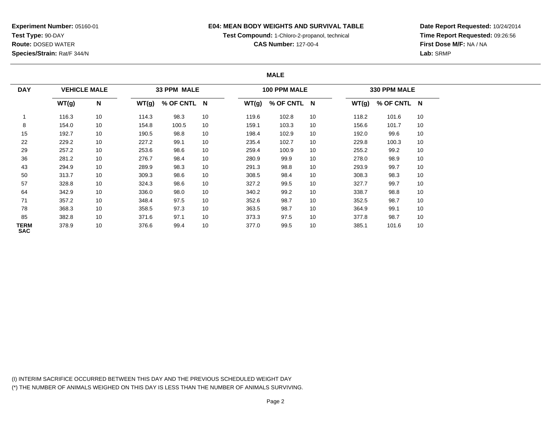# **E04: MEAN BODY WEIGHTS AND SURVIVAL TABLE**

**Test Compound:** 1-Chloro-2-propanol, technical

**CAS Number:** 127-00-4

**Date Report Requested:** 10/24/2014**Time Report Requested:** 09:26:56**First Dose M/F:** NA / NA**Lab:** SRMP

# **MALE**

| <b>DAY</b>         | <b>VEHICLE MALE</b> |    |       | 33 PPM MALE |    |       | 100 PPM MALE |    |       | 330 PPM MALE |    |
|--------------------|---------------------|----|-------|-------------|----|-------|--------------|----|-------|--------------|----|
|                    | WT(g)               | N  | WT(g) | % OF CNTL N |    | WT(g) | % OF CNTL N  |    | WT(g) | % OF CNTL N  |    |
|                    | 116.3               | 10 | 114.3 | 98.3        | 10 | 119.6 | 102.8        | 10 | 118.2 | 101.6        | 10 |
| 8                  | 154.0               | 10 | 154.8 | 100.5       | 10 | 159.1 | 103.3        | 10 | 156.6 | 101.7        | 10 |
| 15                 | 192.7               | 10 | 190.5 | 98.8        | 10 | 198.4 | 102.9        | 10 | 192.0 | 99.6         | 10 |
| 22                 | 229.2               | 10 | 227.2 | 99.1        | 10 | 235.4 | 102.7        | 10 | 229.8 | 100.3        | 10 |
| 29                 | 257.2               | 10 | 253.6 | 98.6        | 10 | 259.4 | 100.9        | 10 | 255.2 | 99.2         | 10 |
| 36                 | 281.2               | 10 | 276.7 | 98.4        | 10 | 280.9 | 99.9         | 10 | 278.0 | 98.9         | 10 |
| 43                 | 294.9               | 10 | 289.9 | 98.3        | 10 | 291.3 | 98.8         | 10 | 293.9 | 99.7         | 10 |
| 50                 | 313.7               | 10 | 309.3 | 98.6        | 10 | 308.5 | 98.4         | 10 | 308.3 | 98.3         | 10 |
| 57                 | 328.8               | 10 | 324.3 | 98.6        | 10 | 327.2 | 99.5         | 10 | 327.7 | 99.7         | 10 |
| 64                 | 342.9               | 10 | 336.0 | 98.0        | 10 | 340.2 | 99.2         | 10 | 338.7 | 98.8         | 10 |
| 71                 | 357.2               | 10 | 348.4 | 97.5        | 10 | 352.6 | 98.7         | 10 | 352.5 | 98.7         | 10 |
| 78                 | 368.3               | 10 | 358.5 | 97.3        | 10 | 363.5 | 98.7         | 10 | 364.9 | 99.1         | 10 |
| 85                 | 382.8               | 10 | 371.6 | 97.1        | 10 | 373.3 | 97.5         | 10 | 377.8 | 98.7         | 10 |
| TERM<br><b>SAC</b> | 378.9               | 10 | 376.6 | 99.4        | 10 | 377.0 | 99.5         | 10 | 385.1 | 101.6        | 10 |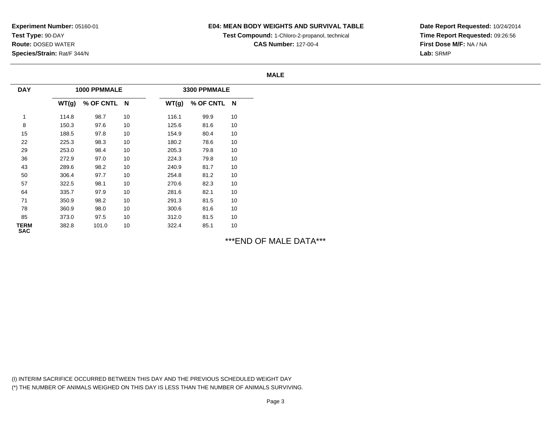# **E04: MEAN BODY WEIGHTS AND SURVIVAL TABLE**

**Test Compound:** 1-Chloro-2-propanol, technical

**CAS Number:** 127-00-4

**Date Report Requested:** 10/24/2014**Time Report Requested:** 09:26:56**First Dose M/F:** NA / NA**Lab:** SRMP

#### **MALE**

| <b>DAY</b>                |       | 1000 PPMMALE |    |       | 3300 PPMMALE |    |
|---------------------------|-------|--------------|----|-------|--------------|----|
|                           | WT(g) | % OF CNTL N  |    | WT(g) | % OF CNTL N  |    |
|                           | 114.8 | 98.7         | 10 | 116.1 | 99.9         | 10 |
| 8                         | 150.3 | 97.6         | 10 | 125.6 | 81.6         | 10 |
| 15                        | 188.5 | 97.8         | 10 | 154.9 | 80.4         | 10 |
| 22                        | 225.3 | 98.3         | 10 | 180.2 | 78.6         | 10 |
| 29                        | 253.0 | 98.4         | 10 | 205.3 | 79.8         | 10 |
| 36                        | 272.9 | 97.0         | 10 | 224.3 | 79.8         | 10 |
| 43                        | 289.6 | 98.2         | 10 | 240.9 | 81.7         | 10 |
| 50                        | 306.4 | 97.7         | 10 | 254.8 | 81.2         | 10 |
| 57                        | 322.5 | 98.1         | 10 | 270.6 | 82.3         | 10 |
| 64                        | 335.7 | 97.9         | 10 | 281.6 | 82.1         | 10 |
| 71                        | 350.9 | 98.2         | 10 | 291.3 | 81.5         | 10 |
| 78                        | 360.9 | 98.0         | 10 | 300.6 | 81.6         | 10 |
| 85                        | 373.0 | 97.5         | 10 | 312.0 | 81.5         | 10 |
| <b>TERM</b><br><b>SAC</b> | 382.8 | 101.0        | 10 | 322.4 | 85.1         | 10 |

\*\*\*END OF MALE DATA\*\*\*

(I) INTERIM SACRIFICE OCCURRED BETWEEN THIS DAY AND THE PREVIOUS SCHEDULED WEIGHT DAY(\*) THE NUMBER OF ANIMALS WEIGHED ON THIS DAY IS LESS THAN THE NUMBER OF ANIMALS SURVIVING.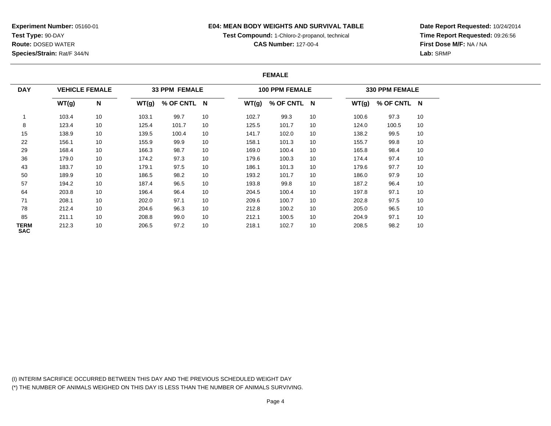## **E04: MEAN BODY WEIGHTS AND SURVIVAL TABLE**

**Test Compound:** 1-Chloro-2-propanol, technical

**CAS Number:** 127-00-4

**Date Report Requested:** 10/24/2014**Time Report Requested:** 09:26:56**First Dose M/F:** NA / NA**Lab:** SRMP

## **FEMALE**

| <b>DAY</b>                |       | <b>VEHICLE FEMALE</b> |       | <b>33 PPM FEMALE</b> |    |       | <b>100 PPM FEMALE</b> |    |       | 330 PPM FEMALE |    |
|---------------------------|-------|-----------------------|-------|----------------------|----|-------|-----------------------|----|-------|----------------|----|
|                           | WT(g) | N                     | WT(g) | % OF CNTL N          |    | WT(g) | % OF CNTL N           |    | WT(g) | % OF CNTL N    |    |
|                           | 103.4 | 10                    | 103.1 | 99.7                 | 10 | 102.7 | 99.3                  | 10 | 100.6 | 97.3           | 10 |
| 8                         | 123.4 | 10                    | 125.4 | 101.7                | 10 | 125.5 | 101.7                 | 10 | 124.0 | 100.5          | 10 |
| 15                        | 138.9 | 10                    | 139.5 | 100.4                | 10 | 141.7 | 102.0                 | 10 | 138.2 | 99.5           | 10 |
| 22                        | 156.1 | 10                    | 155.9 | 99.9                 | 10 | 158.1 | 101.3                 | 10 | 155.7 | 99.8           | 10 |
| 29                        | 168.4 | 10                    | 166.3 | 98.7                 | 10 | 169.0 | 100.4                 | 10 | 165.8 | 98.4           | 10 |
| 36                        | 179.0 | 10                    | 174.2 | 97.3                 | 10 | 179.6 | 100.3                 | 10 | 174.4 | 97.4           | 10 |
| 43                        | 183.7 | 10                    | 179.1 | 97.5                 | 10 | 186.1 | 101.3                 | 10 | 179.6 | 97.7           | 10 |
| 50                        | 189.9 | 10                    | 186.5 | 98.2                 | 10 | 193.2 | 101.7                 | 10 | 186.0 | 97.9           | 10 |
| 57                        | 194.2 | 10                    | 187.4 | 96.5                 | 10 | 193.8 | 99.8                  | 10 | 187.2 | 96.4           | 10 |
| 64                        | 203.8 | 10                    | 196.4 | 96.4                 | 10 | 204.5 | 100.4                 | 10 | 197.8 | 97.1           | 10 |
| 71                        | 208.1 | 10                    | 202.0 | 97.1                 | 10 | 209.6 | 100.7                 | 10 | 202.8 | 97.5           | 10 |
| 78                        | 212.4 | 10                    | 204.6 | 96.3                 | 10 | 212.8 | 100.2                 | 10 | 205.0 | 96.5           | 10 |
| 85                        | 211.1 | 10                    | 208.8 | 99.0                 | 10 | 212.1 | 100.5                 | 10 | 204.9 | 97.1           | 10 |
| <b>TERM</b><br><b>SAC</b> | 212.3 | 10                    | 206.5 | 97.2                 | 10 | 218.1 | 102.7                 | 10 | 208.5 | 98.2           | 10 |